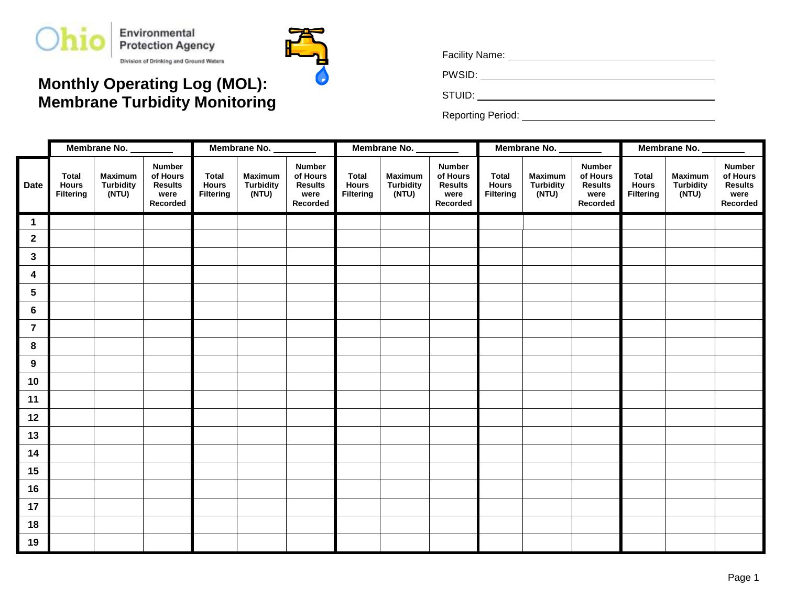



## **Monthly Operating Log (MOL): Membrane Turbidity Monitoring**

Facility Name: .

PWSID: .

STUID: .

Reporting Period: .

|                  | Membrane No.                                     |                                             |                                                                 | Membrane No.                              |                                             |                                                                 | Membrane No.                              |                                             |                                                                 |                                           | Membrane No.                                |                                                                 | Membrane No.                                     |                                             |                                                                 |
|------------------|--------------------------------------------------|---------------------------------------------|-----------------------------------------------------------------|-------------------------------------------|---------------------------------------------|-----------------------------------------------------------------|-------------------------------------------|---------------------------------------------|-----------------------------------------------------------------|-------------------------------------------|---------------------------------------------|-----------------------------------------------------------------|--------------------------------------------------|---------------------------------------------|-----------------------------------------------------------------|
| <b>Date</b>      | <b>Total</b><br><b>Hours</b><br><b>Filtering</b> | <b>Maximum</b><br><b>Turbidity</b><br>(NTU) | <b>Number</b><br>of Hours<br><b>Results</b><br>were<br>Recorded | <b>Total</b><br><b>Hours</b><br>Filtering | <b>Maximum</b><br><b>Turbidity</b><br>(NTU) | <b>Number</b><br>of Hours<br><b>Results</b><br>were<br>Recorded | <b>Total</b><br><b>Hours</b><br>Filtering | <b>Maximum</b><br><b>Turbidity</b><br>(NTU) | <b>Number</b><br>of Hours<br><b>Results</b><br>were<br>Recorded | <b>Total</b><br><b>Hours</b><br>Filtering | <b>Maximum</b><br><b>Turbidity</b><br>(NTU) | <b>Number</b><br>of Hours<br><b>Results</b><br>were<br>Recorded | <b>Total</b><br><b>Hours</b><br><b>Filtering</b> | <b>Maximum</b><br><b>Turbidity</b><br>(NTU) | <b>Number</b><br>of Hours<br><b>Results</b><br>were<br>Recorded |
| $\mathbf{1}$     |                                                  |                                             |                                                                 |                                           |                                             |                                                                 |                                           |                                             |                                                                 |                                           |                                             |                                                                 |                                                  |                                             |                                                                 |
| $\mathbf{2}$     |                                                  |                                             |                                                                 |                                           |                                             |                                                                 |                                           |                                             |                                                                 |                                           |                                             |                                                                 |                                                  |                                             |                                                                 |
| $\mathbf{3}$     |                                                  |                                             |                                                                 |                                           |                                             |                                                                 |                                           |                                             |                                                                 |                                           |                                             |                                                                 |                                                  |                                             |                                                                 |
| $\boldsymbol{4}$ |                                                  |                                             |                                                                 |                                           |                                             |                                                                 |                                           |                                             |                                                                 |                                           |                                             |                                                                 |                                                  |                                             |                                                                 |
| $5\phantom{.0}$  |                                                  |                                             |                                                                 |                                           |                                             |                                                                 |                                           |                                             |                                                                 |                                           |                                             |                                                                 |                                                  |                                             |                                                                 |
| $\bf 6$          |                                                  |                                             |                                                                 |                                           |                                             |                                                                 |                                           |                                             |                                                                 |                                           |                                             |                                                                 |                                                  |                                             |                                                                 |
| $\overline{7}$   |                                                  |                                             |                                                                 |                                           |                                             |                                                                 |                                           |                                             |                                                                 |                                           |                                             |                                                                 |                                                  |                                             |                                                                 |
| 8                |                                                  |                                             |                                                                 |                                           |                                             |                                                                 |                                           |                                             |                                                                 |                                           |                                             |                                                                 |                                                  |                                             |                                                                 |
| $\boldsymbol{9}$ |                                                  |                                             |                                                                 |                                           |                                             |                                                                 |                                           |                                             |                                                                 |                                           |                                             |                                                                 |                                                  |                                             |                                                                 |
| 10               |                                                  |                                             |                                                                 |                                           |                                             |                                                                 |                                           |                                             |                                                                 |                                           |                                             |                                                                 |                                                  |                                             |                                                                 |
| 11               |                                                  |                                             |                                                                 |                                           |                                             |                                                                 |                                           |                                             |                                                                 |                                           |                                             |                                                                 |                                                  |                                             |                                                                 |
| $12$             |                                                  |                                             |                                                                 |                                           |                                             |                                                                 |                                           |                                             |                                                                 |                                           |                                             |                                                                 |                                                  |                                             |                                                                 |
| 13               |                                                  |                                             |                                                                 |                                           |                                             |                                                                 |                                           |                                             |                                                                 |                                           |                                             |                                                                 |                                                  |                                             |                                                                 |
| 14               |                                                  |                                             |                                                                 |                                           |                                             |                                                                 |                                           |                                             |                                                                 |                                           |                                             |                                                                 |                                                  |                                             |                                                                 |
| 15               |                                                  |                                             |                                                                 |                                           |                                             |                                                                 |                                           |                                             |                                                                 |                                           |                                             |                                                                 |                                                  |                                             |                                                                 |
| 16               |                                                  |                                             |                                                                 |                                           |                                             |                                                                 |                                           |                                             |                                                                 |                                           |                                             |                                                                 |                                                  |                                             |                                                                 |
| 17               |                                                  |                                             |                                                                 |                                           |                                             |                                                                 |                                           |                                             |                                                                 |                                           |                                             |                                                                 |                                                  |                                             |                                                                 |
| 18               |                                                  |                                             |                                                                 |                                           |                                             |                                                                 |                                           |                                             |                                                                 |                                           |                                             |                                                                 |                                                  |                                             |                                                                 |
| 19               |                                                  |                                             |                                                                 |                                           |                                             |                                                                 |                                           |                                             |                                                                 |                                           |                                             |                                                                 |                                                  |                                             |                                                                 |